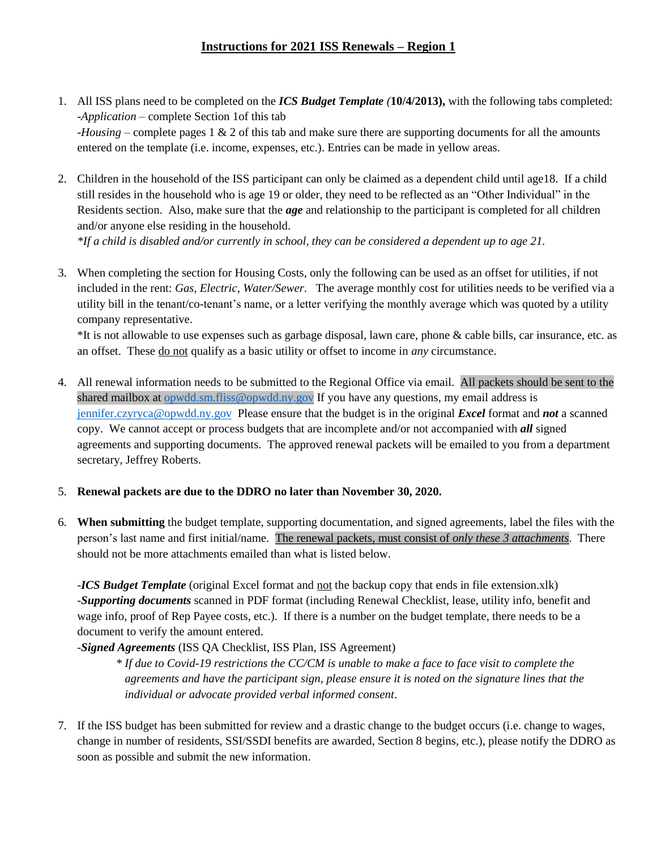## **Instructions for 2021 ISS Renewals – Region 1**

- 1. All ISS plans need to be completed on the *ICS Budget Template (***10/4/2013),** with the following tabs completed: -*Application* – complete Section 1of this tab -*Housing* – complete pages 1 & 2 of this tab and make sure there are supporting documents for all the amounts entered on the template (i.e. income, expenses, etc.). Entries can be made in yellow areas.
- 2. Children in the household of the ISS participant can only be claimed as a dependent child until age18. If a child still resides in the household who is age 19 or older, they need to be reflected as an "Other Individual" in the Residents section. Also, make sure that the *age* and relationship to the participant is completed for all children and/or anyone else residing in the household.

*\*If a child is disabled and/or currently in school, they can be considered a dependent up to age 21.*

3. When completing the section for Housing Costs, only the following can be used as an offset for utilities, if not included in the rent: *Gas, Electric, Water/Sewer*. The average monthly cost for utilities needs to be verified via a utility bill in the tenant/co-tenant's name, or a letter verifying the monthly average which was quoted by a utility company representative.

\*It is not allowable to use expenses such as garbage disposal, lawn care, phone & cable bills, car insurance, etc. as an offset. These do not qualify as a basic utility or offset to income in *any* circumstance.

4. All renewal information needs to be submitted to the Regional Office via email. All packets should be sent to the shared mailbox at [opwdd.sm.fliss@opwdd.ny.gov](mailto:opwdd.sm.fliss@opwdd.ny.gov) If you have any questions, my email address is [jennifer.czyryca@opwdd.ny.gov](mailto:jennifer.czyryca@opwdd.ny.gov) Please ensure that the budget is in the original *Excel* format and *not* a scanned copy. We cannot accept or process budgets that are incomplete and/or not accompanied with *all* signed agreements and supporting documents. The approved renewal packets will be emailed to you from a department secretary, Jeffrey Roberts.

## 5. **Renewal packets are due to the DDRO no later than November 30, 2020.**

6. **When submitting** the budget template, supporting documentation, and signed agreements, label the files with the person's last name and first initial/name. The renewal packets, must consist of *only these 3 attachments*. There should not be more attachments emailed than what is listed below.

-*ICS Budget Template* (original Excel format and not the backup copy that ends in file extension.xlk) -*Supporting documents* scanned in PDF format (including Renewal Checklist, lease, utility info, benefit and wage info, proof of Rep Payee costs, etc.). If there is a number on the budget template, there needs to be a document to verify the amount entered.

-*Signed Agreements* (ISS QA Checklist, ISS Plan, ISS Agreement)

*\* If due to Covid-19 restrictions the CC/CM is unable to make a face to face visit to complete the agreements and have the participant sign, please ensure it is noted on the signature lines that the individual or advocate provided verbal informed consent*.

7. If the ISS budget has been submitted for review and a drastic change to the budget occurs (i.e. change to wages, change in number of residents, SSI/SSDI benefits are awarded, Section 8 begins, etc.), please notify the DDRO as soon as possible and submit the new information.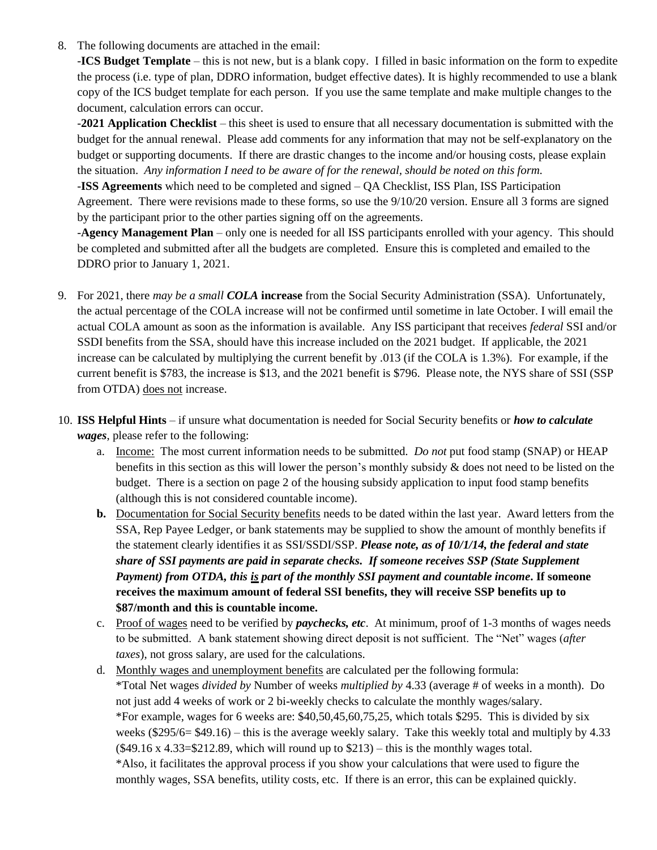8. The following documents are attached in the email:

-**ICS Budget Template** – this is not new, but is a blank copy. I filled in basic information on the form to expedite the process (i.e. type of plan, DDRO information, budget effective dates). It is highly recommended to use a blank copy of the ICS budget template for each person. If you use the same template and make multiple changes to the document, calculation errors can occur.

-**2021 Application Checklist** – this sheet is used to ensure that all necessary documentation is submitted with the budget for the annual renewal. Please add comments for any information that may not be self-explanatory on the budget or supporting documents. If there are drastic changes to the income and/or housing costs, please explain the situation. *Any information I need to be aware of for the renewal, should be noted on this form.*

-**ISS Agreements** which need to be completed and signed – QA Checklist, ISS Plan, ISS Participation Agreement. There were revisions made to these forms, so use the 9/10/20 version. Ensure all 3 forms are signed by the participant prior to the other parties signing off on the agreements.

-**Agency Management Plan** – only one is needed for all ISS participants enrolled with your agency. This should be completed and submitted after all the budgets are completed. Ensure this is completed and emailed to the DDRO prior to January 1, 2021.

- 9. For 2021, there *may be a small COLA* **increase** from the Social Security Administration (SSA). Unfortunately, the actual percentage of the COLA increase will not be confirmed until sometime in late October. I will email the actual COLA amount as soon as the information is available. Any ISS participant that receives *federal* SSI and/or SSDI benefits from the SSA, should have this increase included on the 2021 budget. If applicable, the 2021 increase can be calculated by multiplying the current benefit by .013 (if the COLA is 1.3%). For example, if the current benefit is \$783, the increase is \$13, and the 2021 benefit is \$796. Please note, the NYS share of SSI (SSP from OTDA) does not increase.
- 10. **ISS Helpful Hints** if unsure what documentation is needed for Social Security benefits or *how to calculate wages*, please refer to the following:
	- a. Income: The most current information needs to be submitted. *Do not* put food stamp (SNAP) or HEAP benefits in this section as this will lower the person's monthly subsidy & does not need to be listed on the budget. There is a section on page 2 of the housing subsidy application to input food stamp benefits (although this is not considered countable income).
	- **b.** Documentation for Social Security benefits needs to be dated within the last year. Award letters from the SSA, Rep Payee Ledger, or bank statements may be supplied to show the amount of monthly benefits if the statement clearly identifies it as SSI/SSDI/SSP. *Please note, as of 10/1/14, the federal and state share of SSI payments are paid in separate checks. If someone receives SSP (State Supplement Payment) from OTDA, this is part of the monthly SSI payment and countable income***. If someone receives the maximum amount of federal SSI benefits, they will receive SSP benefits up to \$87/month and this is countable income.**
	- c. Proof of wages need to be verified by *paychecks, etc*. At minimum, proof of 1-3 months of wages needs to be submitted. A bank statement showing direct deposit is not sufficient. The "Net" wages (*after taxes*), not gross salary, are used for the calculations.
	- d. Monthly wages and unemployment benefits are calculated per the following formula: \*Total Net wages *divided by* Number of weeks *multiplied by* 4.33 (average # of weeks in a month). Do not just add 4 weeks of work or 2 bi-weekly checks to calculate the monthly wages/salary. \*For example, wages for 6 weeks are: \$40,50,45,60,75,25, which totals \$295. This is divided by six weeks (\$295/6= \$49.16) – this is the average weekly salary. Take this weekly total and multiply by 4.33  $($49.16 \times 4.33 = $212.89, which will round up to $213) - this is the monthly wages total.$ \*Also, it facilitates the approval process if you show your calculations that were used to figure the monthly wages, SSA benefits, utility costs, etc. If there is an error, this can be explained quickly.